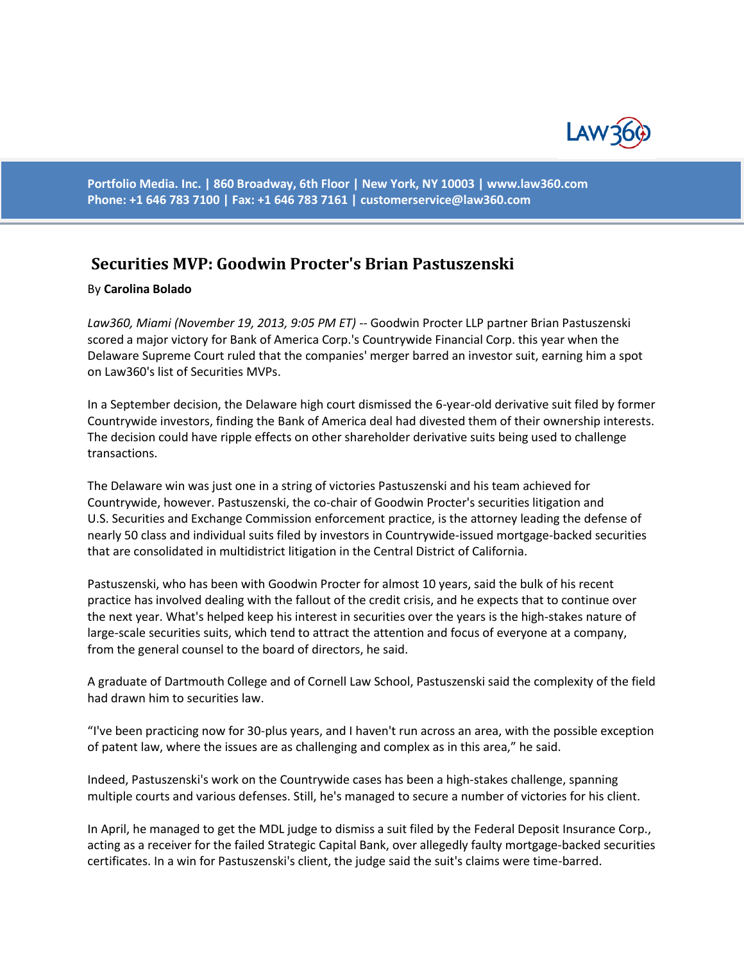

**Portfolio Media. Inc. | 860 Broadway, 6th Floor | New York, NY 10003 | www.law360.com Phone: +1 646 783 7100 | Fax: +1 646 783 7161 | [customerservice@law360.com](mailto:customerservice@law360.com)**

## **Securities MVP: Goodwin Procter's Brian Pastuszenski**

## By **Carolina Bolado**

*Law360, Miami (November 19, 2013, 9:05 PM ET)* -- Goodwin Procter LLP partner Brian Pastuszenski scored a major victory for Bank of America Corp.'s Countrywide Financial Corp. this year when the Delaware Supreme Court ruled that the companies' merger barred an investor suit, earning him a spot on Law360's list of Securities MVPs.

In a September decision, the Delaware high court dismissed the 6-year-old derivative suit filed by former Countrywide investors, finding the Bank of America deal had divested them of their ownership interests. The decision could have ripple effects on other shareholder derivative suits being used to challenge transactions.

The Delaware win was just one in a string of victories Pastuszenski and his team achieved for Countrywide, however. Pastuszenski, the co-chair of Goodwin Procter's securities litigation and U.S. Securities and Exchange Commission enforcement practice, is the attorney leading the defense of nearly 50 class and individual suits filed by investors in Countrywide-issued mortgage-backed securities that are consolidated in multidistrict litigation in the Central District of California.

Pastuszenski, who has been with Goodwin Procter for almost 10 years, said the bulk of his recent practice has involved dealing with the fallout of the credit crisis, and he expects that to continue over the next year. What's helped keep his interest in securities over the years is the high-stakes nature of large-scale securities suits, which tend to attract the attention and focus of everyone at a company, from the general counsel to the board of directors, he said.

A graduate of Dartmouth College and of Cornell Law School, Pastuszenski said the complexity of the field had drawn him to securities law.

"I've been practicing now for 30-plus years, and I haven't run across an area, with the possible exception of patent law, where the issues are as challenging and complex as in this area," he said.

Indeed, Pastuszenski's work on the Countrywide cases has been a high-stakes challenge, spanning multiple courts and various defenses. Still, he's managed to secure a number of victories for his client.

In April, he managed to get the MDL judge to dismiss a suit filed by the Federal Deposit Insurance Corp., acting as a receiver for the failed Strategic Capital Bank, over allegedly faulty mortgage-backed securities certificates. In a win for Pastuszenski's client, the judge said the suit's claims were time-barred.